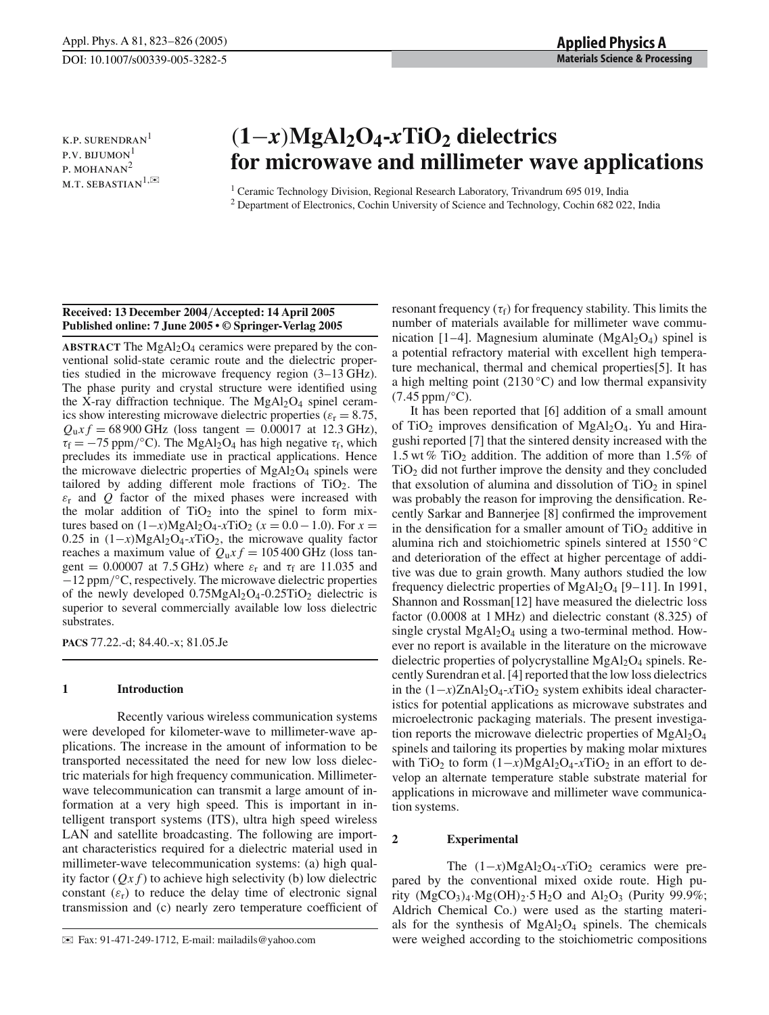**K.P. SURENDRAN** P.V. BIJUMON $<sup>1</sup>$ </sup> P. MOHANAN<sup>2</sup> M.T. SEBASTIAN<sup>1, $\approx$ </sup>

# (**1**−*x*)**MgAl2O4-***x***TiO2 dielectrics for microwave and millimeter wave applications**

<sup>1</sup> Ceramic Technology Division, Regional Research Laboratory, Trivandrum 695 019, India <sup>2</sup> Department of Electronics, Cochin University of Science and Technology, Cochin 682 022, India

# **Received: 13 December 2004**/**Accepted: 14 April 2005 Published online: 7 June 2005 • © Springer-Verlag 2005**

**ABSTRACT** The  $MgAl<sub>2</sub>O<sub>4</sub>$  ceramics were prepared by the conventional solid-state ceramic route and the dielectric properties studied in the microwave frequency region (3–13 GHz). The phase purity and crystal structure were identified using the X-ray diffraction technique. The  $MgAl<sub>2</sub>O<sub>4</sub>$  spinel ceramics show interesting microwave dielectric properties ( $\varepsilon_r = 8.75$ ,  $Q_{\mu}$ *x f* = 68 900 GHz (loss tangent = 0.00017 at 12.3 GHz),  $\tau_f = -75$  ppm/°C). The MgAl<sub>2</sub>O<sub>4</sub> has high negative  $\tau_f$ , which precludes its immediate use in practical applications. Hence the microwave dielectric properties of  $MgAl<sub>2</sub>O<sub>4</sub>$  spinels were tailored by adding different mole fractions of  $TiO<sub>2</sub>$ . The  $\varepsilon$ <sub>r</sub> and *Q* factor of the mixed phases were increased with the molar addition of  $TiO<sub>2</sub>$  into the spinel to form mixtures based on  $(1-x)MgAl<sub>2</sub>O<sub>4</sub>-xTiO<sub>2</sub>$  ( $x = 0.0 - 1.0$ ). For  $x =$ 0.25 in (1−*x*)MgAl2O4-*x*TiO2, the microwave quality factor reaches a maximum value of  $Q_0x f = 105400$  GHz (loss tangent = 0.00007 at 7.5 GHz) where  $\varepsilon_r$  and  $\tau_f$  are 11.035 and −12 ppm/◦C, respectively. The microwave dielectric properties of the newly developed  $0.75MgAl<sub>2</sub>O<sub>4</sub> - 0.25TiO<sub>2</sub>$  dielectric is superior to several commercially available low loss dielectric substrates.

**PACS** 77.22.-d; 84.40.-x; 81.05.Je

# **1 Introduction**

Recently various wireless communication systems were developed for kilometer-wave to millimeter-wave applications. The increase in the amount of information to be transported necessitated the need for new low loss dielectric materials for high frequency communication. Millimeterwave telecommunication can transmit a large amount of information at a very high speed. This is important in intelligent transport systems (ITS), ultra high speed wireless LAN and satellite broadcasting. The following are important characteristics required for a dielectric material used in millimeter-wave telecommunication systems: (a) high quality factor  $(Qx f)$  to achieve high selectivity (b) low dielectric constant  $(\varepsilon_r)$  to reduce the delay time of electronic signal transmission and (c) nearly zero temperature coefficient of

✉ Fax: 91-471-249-1712, E-mail: mailadils@yahoo.com

resonant frequency  $(\tau_f)$  for frequency stability. This limits the number of materials available for millimeter wave communication [1–4]. Magnesium aluminate  $(MgAl<sub>2</sub>O<sub>4</sub>)$  spinel is a potential refractory material with excellent high temperature mechanical, thermal and chemical properties[5]. It has a high melting point (2130  $\degree$ C) and low thermal expansivity  $(7.45$  ppm/ $°C$ ).

It has been reported that [6] addition of a small amount of TiO<sub>2</sub> improves densification of MgAl<sub>2</sub>O<sub>4</sub>. Yu and Hiragushi reported [7] that the sintered density increased with the 1.5 wt % TiO<sub>2</sub> addition. The addition of more than 1.5% of  $TiO<sub>2</sub>$  did not further improve the density and they concluded that exsolution of alumina and dissolution of  $TiO<sub>2</sub>$  in spinel was probably the reason for improving the densification. Recently Sarkar and Bannerjee [8] confirmed the improvement in the densification for a smaller amount of  $TiO<sub>2</sub>$  additive in alumina rich and stoichiometric spinels sintered at 1550 ◦C and deterioration of the effect at higher percentage of additive was due to grain growth. Many authors studied the low frequency dielectric properties of  $MgAl<sub>2</sub>O<sub>4</sub>$  [9–11]. In 1991, Shannon and Rossman[12] have measured the dielectric loss factor (0.0008 at 1 MHz) and dielectric constant (8.325) of single crystal  $MgAl<sub>2</sub>O<sub>4</sub>$  using a two-terminal method. However no report is available in the literature on the microwave dielectric properties of polycrystalline  $MgAl<sub>2</sub>O<sub>4</sub>$  spinels. Recently Surendran et al. [4] reported that the low loss dielectrics in the (1−*x*)ZnAl2O4-*x*TiO2 system exhibits ideal characteristics for potential applications as microwave substrates and microelectronic packaging materials. The present investigation reports the microwave dielectric properties of  $MgA<sub>2</sub>O<sub>4</sub>$ spinels and tailoring its properties by making molar mixtures with TiO<sub>2</sub> to form  $(1-x)MgA1_2O_4$ -*x*TiO<sub>2</sub> in an effort to develop an alternate temperature stable substrate material for applications in microwave and millimeter wave communication systems.

## **2 Experimental**

The  $(1-x)MgAl<sub>2</sub>O<sub>4</sub>-xTiO<sub>2</sub>$  ceramics were prepared by the conventional mixed oxide route. High purity  $(MgCO<sub>3</sub>)<sub>4</sub>·Mg(OH)<sub>2</sub>·5H<sub>2</sub>O$  and  $Al<sub>2</sub>O<sub>3</sub>$  (Purity 99.9%; Aldrich Chemical Co.) were used as the starting materials for the synthesis of  $MgAl<sub>2</sub>O<sub>4</sub>$  spinels. The chemicals were weighed according to the stoichiometric compositions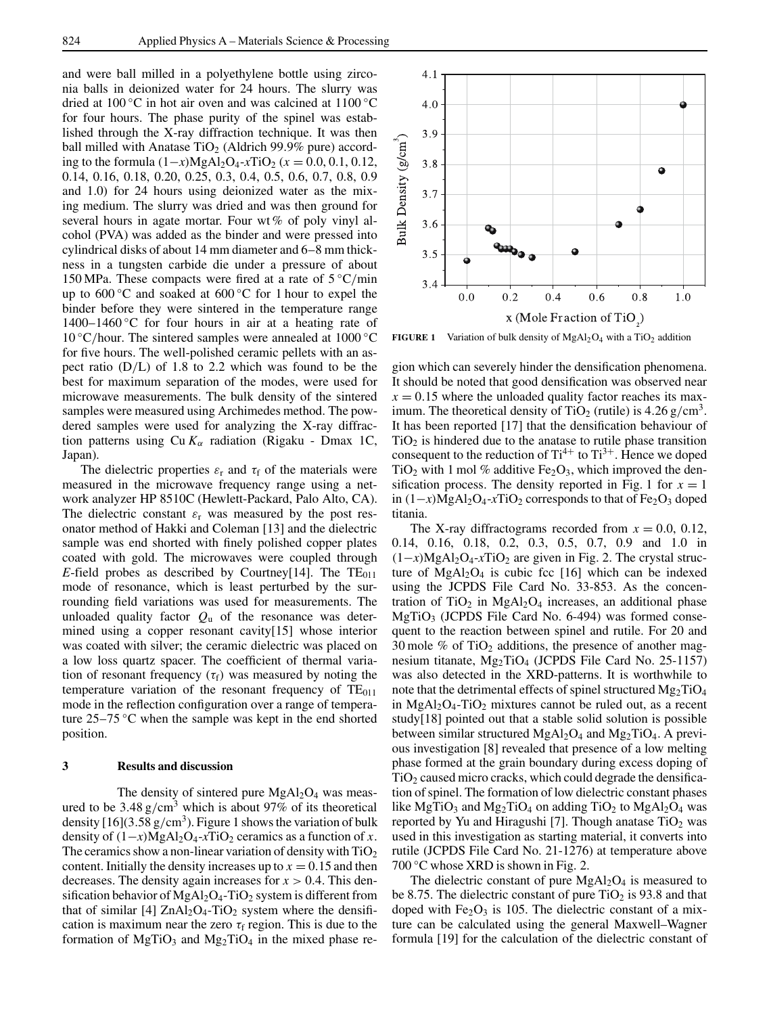and were ball milled in a polyethylene bottle using zirconia balls in deionized water for 24 hours. The slurry was dried at 100 °C in hot air oven and was calcined at  $1100$  °C for four hours. The phase purity of the spinel was established through the X-ray diffraction technique. It was then ball milled with Anatase  $TiO<sub>2</sub>$  (Aldrich 99.9% pure) according to the formula (1−*x*)MgAl2O4-*x*TiO2 (*x* = 0.0, 0.1, 0.12, 0.14, 0.16, 0.18, 0.20, 0.25, 0.3, 0.4, 0.5, 0.6, 0.7, 0.8, 0.9 and 1.0) for 24 hours using deionized water as the mixing medium. The slurry was dried and was then ground for several hours in agate mortar. Four wt % of poly vinyl alcohol (PVA) was added as the binder and were pressed into cylindrical disks of about 14 mm diameter and 6–8 mm thickness in a tungsten carbide die under a pressure of about 150 MPa. These compacts were fired at a rate of  $5^{\circ}$ C/min up to 600 ◦C and soaked at 600 ◦C for 1 hour to expel the binder before they were sintered in the temperature range 1400–1460 °C for four hours in air at a heating rate of 10 °C/hour. The sintered samples were annealed at  $1000$  °C for five hours. The well-polished ceramic pellets with an aspect ratio  $(D/L)$  of 1.8 to 2.2 which was found to be the best for maximum separation of the modes, were used for microwave measurements. The bulk density of the sintered samples were measured using Archimedes method. The powdered samples were used for analyzing the X-ray diffraction patterns using  $Cu K<sub>\alpha</sub>$  radiation (Rigaku - Dmax 1C, Japan).

The dielectric properties  $\varepsilon_r$  and  $\tau_f$  of the materials were measured in the microwave frequency range using a network analyzer HP 8510C (Hewlett-Packard, Palo Alto, CA). The dielectric constant  $\varepsilon_r$  was measured by the post resonator method of Hakki and Coleman [13] and the dielectric sample was end shorted with finely polished copper plates coated with gold. The microwaves were coupled through *E*-field probes as described by Courtney[14]. The  $TE_{011}$ mode of resonance, which is least perturbed by the surrounding field variations was used for measurements. The unloaded quality factor  $Q<sub>u</sub>$  of the resonance was determined using a copper resonant cavity[15] whose interior was coated with silver; the ceramic dielectric was placed on a low loss quartz spacer. The coefficient of thermal variation of resonant frequency  $(\tau_f)$  was measured by noting the temperature variation of the resonant frequency of  $TE<sub>011</sub>$ mode in the reflection configuration over a range of temperature 25–75 ◦C when the sample was kept in the end shorted position.

### **3 Results and discussion**

The density of sintered pure  $MgAl<sub>2</sub>O<sub>4</sub>$  was measured to be  $3.48 \text{ g/cm}^3$  which is about 97% of its theoretical density  $[16](3.58 \text{ g/cm}^3)$ . Figure 1 shows the variation of bulk density of  $(1-x)MgA1_2O_4$ -*x*TiO<sub>2</sub> ceramics as a function of *x*. The ceramics show a non-linear variation of density with  $TiO<sub>2</sub>$ content. Initially the density increases up to  $x = 0.15$  and then decreases. The density again increases for  $x > 0.4$ . This densification behavior of  $MgAl<sub>2</sub>O<sub>4</sub>$ -TiO<sub>2</sub> system is different from that of similar  $[4]$  ZnAl<sub>2</sub>O<sub>4</sub>-TiO<sub>2</sub> system where the densification is maximum near the zero  $\tau_f$  region. This is due to the formation of MgTiO<sub>3</sub> and Mg<sub>2</sub>TiO<sub>4</sub> in the mixed phase re-



**FIGURE 1** Variation of bulk density of  $MgAl<sub>2</sub>O<sub>4</sub>$  with a TiO<sub>2</sub> addition

gion which can severely hinder the densification phenomena. It should be noted that good densification was observed near  $x = 0.15$  where the unloaded quality factor reaches its maximum. The theoretical density of TiO<sub>2</sub> (rutile) is  $4.26$  g/cm<sup>3</sup>. It has been reported [17] that the densification behaviour of  $TiO<sub>2</sub>$  is hindered due to the anatase to rutile phase transition consequent to the reduction of  $Ti^{4+}$  to  $Ti^{3+}$ . Hence we doped TiO<sub>2</sub> with 1 mol % additive Fe<sub>2</sub>O<sub>3</sub>, which improved the densification process. The density reported in Fig. 1 for  $x = 1$ in (1–*x*)MgAl<sub>2</sub>O<sub>4</sub>-*x*TiO<sub>2</sub> corresponds to that of Fe<sub>2</sub>O<sub>3</sub> doped titania.

The X-ray diffractograms recorded from  $x = 0.0, 0.12$ , 0.14, 0.16, 0.18, 0.2, 0.3, 0.5, 0.7, 0.9 and 1.0 in  $(1-x)MgAl<sub>2</sub>O<sub>4</sub>-xTiO<sub>2</sub>$  are given in Fig. 2. The crystal structure of  $MgAl<sub>2</sub>O<sub>4</sub>$  is cubic fcc [16] which can be indexed using the JCPDS File Card No. 33-853. As the concentration of  $TiO<sub>2</sub>$  in MgAl<sub>2</sub>O<sub>4</sub> increases, an additional phase  $MgTiO<sub>3</sub>$  (JCPDS File Card No. 6-494) was formed consequent to the reaction between spinel and rutile. For 20 and 30 mole  $\%$  of TiO<sub>2</sub> additions, the presence of another magnesium titanate,  $Mg_2TiO_4$  (JCPDS File Card No. 25-1157) was also detected in the XRD-patterns. It is worthwhile to note that the detrimental effects of spinel structured  $Mg_2TiO_4$ in  $MgAl<sub>2</sub>O<sub>4</sub>$ -TiO<sub>2</sub> mixtures cannot be ruled out, as a recent study[18] pointed out that a stable solid solution is possible between similar structured  $MgAl<sub>2</sub>O<sub>4</sub>$  and  $Mg<sub>2</sub>TiO<sub>4</sub>$ . A previous investigation [8] revealed that presence of a low melting phase formed at the grain boundary during excess doping of  $TiO<sub>2</sub>$  caused micro cracks, which could degrade the densification of spinel. The formation of low dielectric constant phases like MgTiO<sub>3</sub> and Mg<sub>2</sub>TiO<sub>4</sub> on adding TiO<sub>2</sub> to MgAl<sub>2</sub>O<sub>4</sub> was reported by Yu and Hiragushi [7]. Though anatase  $TiO<sub>2</sub>$  was used in this investigation as starting material, it converts into rutile (JCPDS File Card No. 21-1276) at temperature above  $700^{\circ}$ C whose XRD is shown in Fig. 2.

The dielectric constant of pure  $MgAl<sub>2</sub>O<sub>4</sub>$  is measured to be 8.75. The dielectric constant of pure  $TiO<sub>2</sub>$  is 93.8 and that doped with  $Fe<sub>2</sub>O<sub>3</sub>$  is 105. The dielectric constant of a mixture can be calculated using the general Maxwell–Wagner formula [19] for the calculation of the dielectric constant of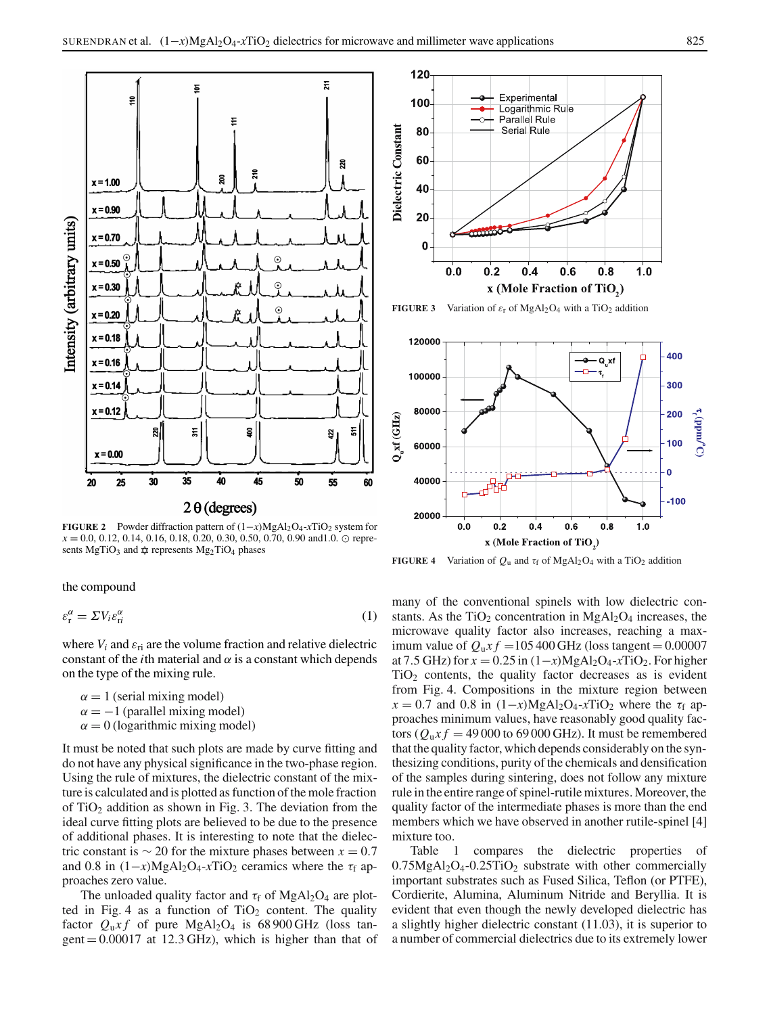

**FIGURE 2** Powder diffraction pattern of(1−*x*)MgAl2O4-*x*TiO2 system for  $x = 0.0, 0.12, 0.14, 0.16, 0.18, 0.20, 0.30, 0.50, 0.70, 0.90 \text{ and } 1.0. \odot \text{ repre-}$ sents MgTiO<sub>3</sub> and  $x$  represents Mg<sub>2</sub>TiO<sub>4</sub> phases

the compound

$$
\varepsilon_{\rm r}^{\alpha} = \Sigma V_i \varepsilon_{\rm ri}^{\alpha} \tag{1}
$$

where  $V_i$  and  $\varepsilon_{ri}$  are the volume fraction and relative dielectric constant of the *i*th material and  $\alpha$  is a constant which depends on the type of the mixing rule.

 $\alpha = 1$  (serial mixing model)  $\alpha = -1$  (parallel mixing model)  $\alpha = 0$  (logarithmic mixing model)

It must be noted that such plots are made by curve fitting and do not have any physical significance in the two-phase region. Using the rule of mixtures, the dielectric constant of the mixture is calculated and is plotted as function of the mole fraction of  $TiO<sub>2</sub>$  addition as shown in Fig. 3. The deviation from the ideal curve fitting plots are believed to be due to the presence of additional phases. It is interesting to note that the dielectric constant is  $\sim$  20 for the mixture phases between  $x = 0.7$ and 0.8 in  $(1-x)MgAl<sub>2</sub>O<sub>4</sub>-xTiO<sub>2</sub>$  ceramics where the  $\tau_f$  approaches zero value.

The unloaded quality factor and  $\tau_f$  of MgAl<sub>2</sub>O<sub>4</sub> are plotted in Fig. 4 as a function of  $TiO<sub>2</sub>$  content. The quality factor  $Q_u x f$  of pure MgAl<sub>2</sub>O<sub>4</sub> is 68 900 GHz (loss tangent  $= 0.00017$  at 12.3 GHz), which is higher than that of



**FIGURE 3** Variation of  $\varepsilon_r$  of MgAl<sub>2</sub>O<sub>4</sub> with a TiO<sub>2</sub> addition



**FIGURE 4** Variation of  $Q_u$  and  $\tau_f$  of MgAl<sub>2</sub>O<sub>4</sub> with a TiO<sub>2</sub> addition

many of the conventional spinels with low dielectric constants. As the  $TiO<sub>2</sub>$  concentration in  $MgAl<sub>2</sub>O<sub>4</sub>$  increases, the microwave quality factor also increases, reaching a maximum value of  $Q_0x f = 105400$  GHz (loss tangent = 0.00007 at 7.5 GHz) for  $x = 0.25$  in  $(1-x)MgA1_2O_4$ -*x*TiO<sub>2</sub>. For higher  $TiO<sub>2</sub>$  contents, the quality factor decreases as is evident from Fig. 4. Compositions in the mixture region between  $x = 0.7$  and 0.8 in  $(1-x)MgA1_2O_4-xTiO_2$  where the  $\tau_f$  approaches minimum values, have reasonably good quality factors ( $Q_u x f = 49000$  to 69000 GHz). It must be remembered that the quality factor, which depends considerably on the synthesizing conditions, purity of the chemicals and densification of the samples during sintering, does not follow any mixture rule in the entire range of spinel-rutile mixtures. Moreover, the quality factor of the intermediate phases is more than the end members which we have observed in another rutile-spinel [4] mixture too.

Table 1 compares the dielectric properties of  $0.75MgAl<sub>2</sub>O<sub>4</sub> - 0.25TiO<sub>2</sub>$  substrate with other commercially important substrates such as Fused Silica, Teflon (or PTFE), Cordierite, Alumina, Aluminum Nitride and Beryllia. It is evident that even though the newly developed dielectric has a slightly higher dielectric constant (11.03), it is superior to a number of commercial dielectrics due to its extremely lower